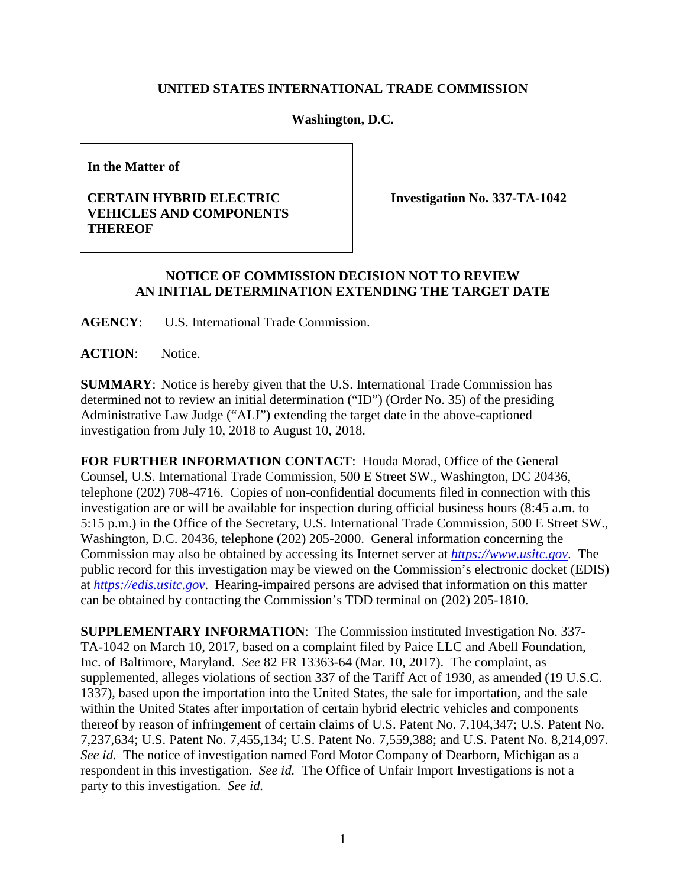## **UNITED STATES INTERNATIONAL TRADE COMMISSION**

**Washington, D.C.** 

**In the Matter of**

## **CERTAIN HYBRID ELECTRIC VEHICLES AND COMPONENTS THEREOF**

**Investigation No. 337-TA-1042**

## **NOTICE OF COMMISSION DECISION NOT TO REVIEW AN INITIAL DETERMINATION EXTENDING THE TARGET DATE**

**AGENCY**: U.S. International Trade Commission.

**ACTION**: Notice.

**SUMMARY**: Notice is hereby given that the U.S. International Trade Commission has determined not to review an initial determination ("ID") (Order No. 35) of the presiding Administrative Law Judge ("ALJ") extending the target date in the above-captioned investigation from July 10, 2018 to August 10, 2018.

**FOR FURTHER INFORMATION CONTACT**: Houda Morad, Office of the General Counsel, U.S. International Trade Commission, 500 E Street SW., Washington, DC 20436, telephone (202) 708-4716. Copies of non-confidential documents filed in connection with this investigation are or will be available for inspection during official business hours (8:45 a.m. to 5:15 p.m.) in the Office of the Secretary, U.S. International Trade Commission, 500 E Street SW., Washington, D.C. 20436, telephone (202) 205-2000. General information concerning the Commission may also be obtained by accessing its Internet server at *[https://www.usitc.gov](https://www.usitc.gov/)*. The public record for this investigation may be viewed on the Commission's electronic docket (EDIS) at *[https://edis.usitc.gov](http://edis.usitc.gov/)*. Hearing-impaired persons are advised that information on this matter can be obtained by contacting the Commission's TDD terminal on (202) 205-1810.

**SUPPLEMENTARY INFORMATION**: The Commission instituted Investigation No. 337- TA-1042 on March 10, 2017, based on a complaint filed by Paice LLC and Abell Foundation, Inc. of Baltimore, Maryland. *See* 82 FR 13363-64 (Mar. 10, 2017). The complaint, as supplemented, alleges violations of section 337 of the Tariff Act of 1930, as amended (19 U.S.C. 1337), based upon the importation into the United States, the sale for importation, and the sale within the United States after importation of certain hybrid electric vehicles and components thereof by reason of infringement of certain claims of U.S. Patent No. 7,104,347; U.S. Patent No. 7,237,634; U.S. Patent No. 7,455,134; U.S. Patent No. 7,559,388; and U.S. Patent No. 8,214,097. *See id.* The notice of investigation named Ford Motor Company of Dearborn, Michigan as a respondent in this investigation. *See id.* The Office of Unfair Import Investigations is not a party to this investigation. *See id.*